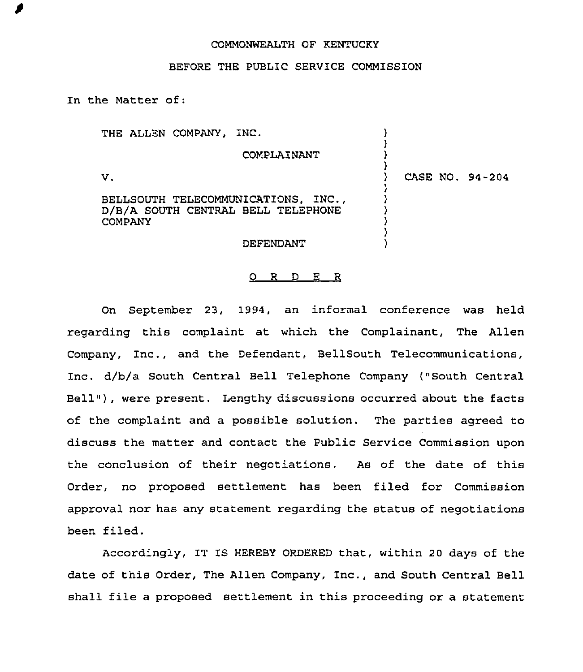## COMMONWEALTH OF KENTUCKY

## BEFORE THE PUBLIC SERVICE COMMISSION

In the Matter of:

THE ALLEN COMPANY, INC. ) ) COMPLAINANT ) ) V. ) CASE NO. 94-204 ) BELLSOUTH TELECOMMUNICATIONS, 1NC., ) D/B/A SOUTH CENTRAL BELL TELEPHONE ) COMPANY ) ) DEFENDANT )

## 0 R <sup>D</sup> E R

On September 23, 1994, an informal conference was held regarding this complaint at which the Complainant, The Allen Company, Inc., and the Defendant, BellSouth Telecommunications, Inc. d/b/a South Central Bell Telephone Company ("South Central Bell" ), were present. Lengthy discussions occurred about the facts of the complaint and a possible solution. The parties agreed to discuss the matter and contact the Public Service Commission upon the conclusion of their negotiations. As of the date of this Order, no proposed settlement has been filed for Commission approval nor has any statement regarding the status of negotiations been filed.

Accordingly, IT IS HEREBY ORDERED that, within 20 days of the date of this Order, The Allen Company, Inc., and South Central Bell shall file a proposed settlement in this proceeding or a statement